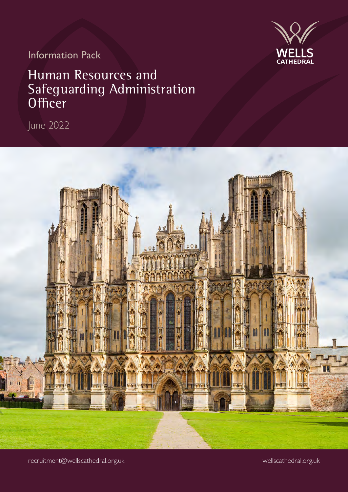

Information Pack

### Human Resources and Safeguarding Administration **Officer**

June 2022



recruitment@wellscathedral.org.uk

wellscathedral.org.uk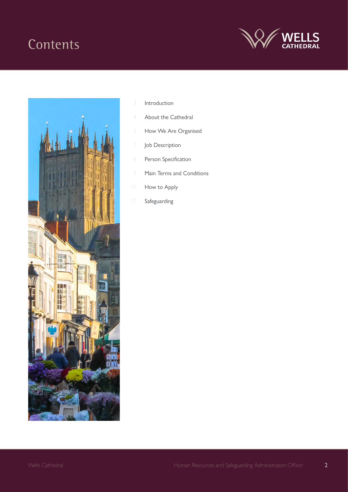### **Contents**





- Introduction
- About the Cathedral
- How We Are Organised
- Job Description
- Person Specification
- Main Terms and Conditions
- How to Apply
- Safeguarding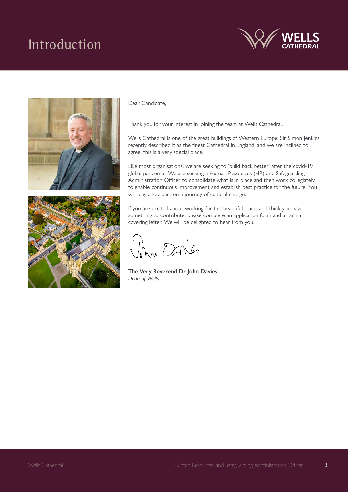## Introduction







#### Dear Candidate,

Thank you for your interest in joining the team at Wells Cathedral.

Wells Cathedral is one of the great buildings of Western Europe. Sir Simon Jenkins recently described it as the finest Cathedral in England, and we are inclined to agree; this is a very special place.

Like most organisations, we are seeking to 'build back better' after the covid-19 global pandemic. We are seeking a Human Resources (HR) and Safeguarding Administration Officer to consolidate what is in place and then work collegiately to enable continuous improvement and establish best practice for the future. You will play a key part on a journey of cultural change.

If you are excited about working for this beautiful place, and think you have something to contribute, please complete an application form and attach a covering letter. We will be delighted to hear from you.

Vom Danies

**The Very Reverend Dr John Davies** *Dean of Wells*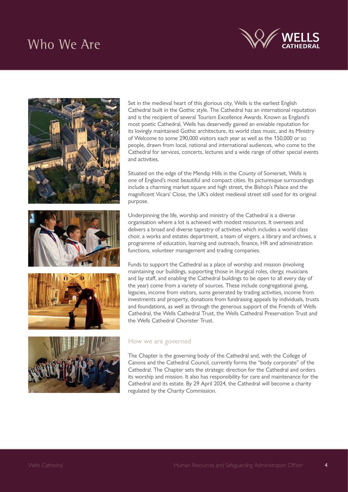### Who We Are







Set in the medieval heart of this glorious city, Wells is the earliest English Cathedral built in the Gothic style. The Cathedral has an international reputation and is the recipient of several Tourism Excellence Awards. Known as England's most poetic Cathedral, Wells has deservedly gained an enviable reputation for its lovingly maintained Gothic architecture, its world class music, and its Ministry of Welcome to some 290,000 visitors each year as well as the 150,000 or so people, drawn from local, national and international audiences, who come to the Cathedral for services, concerts, lectures and a wide range of other special events and activities.

Situated on the edge of the Mendip Hills in the County of Somerset, Wells is one of England's most beautiful and compact cities. Its picturesque surroundings include a charming market square and high street, the Bishop's Palace and the magnificent Vicars' Close, the UK's oldest medieval street still used for its original purpose.

Underpinning the life, worship and ministry of the Cathedral is a diverse organisation where a lot is achieved with modest resources. It oversees and delivers a broad and diverse tapestry of activities which includes a world class choir, a works and estates department, a team of virgers, a library and archives, a programme of education, learning and outreach, finance, HR and administration functions, volunteer management and trading companies.

Funds to support the Cathedral as a place of worship and mission (involving maintaining our buildings, supporting those in liturgical roles, clergy, musicians and lay staff, and enabling the Cathedral buildings to be open to all every day of the year) come from a variety of sources. These include congregational giving, legacies, income from visitors, sums generated by trading activities, income from investments and property, donations from fundraising appeals by individuals, trusts and foundations, as well as through the generous support of the Friends of Wells Cathedral, the Wells Cathedral Trust, the Wells Cathedral Preservation Trust and the Wells Cathedral Chorister Trust.

### How we are governed

The Chapter is the governing body of the Cathedral and, with the College of Canons and the Cathedral Council, currently forms the "body corporate" of the Cathedral. The Chapter sets the strategic direction for the Cathedral and orders its worship and mission. It also has responsibility for care and maintenance for the Cathedral and its estate. By 29 April 2024, the Cathedral will become a charity regulated by the Charity Commission.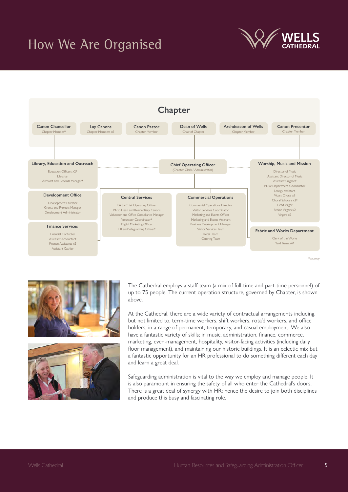## How We Are Organised









The Cathedral employs a staff team (a mix of full-time and part-time personnel) of up to 75 people. The current operation structure, governed by Chapter, is shown above.

At the Cathedral, there are a wide variety of contractual arrangements including, but not limited to, term-time workers, shift workers, rota'd workers, and office holders, in a range of permanent, temporary, and casual employment. We also have a fantastic variety of skills; in music, administration, finance, commerce, marketing, even-management, hospitality, visitor-facing activities (including daily floor management), and maintaining our historic buildings. It is an eclectic mix but a fantastic opportunity for an HR professional to do something different each day and learn a great deal.

Safeguarding administration is vital to the way we employ and manage people. It is also paramount in ensuring the safety of all who enter the Cathedral's doors. There is a great deal of synergy with HR; hence the desire to join both disciplines and produce this busy and fascinating role.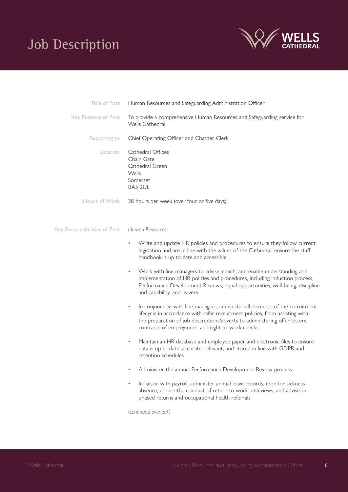# Job Description



| <b>Title of Post</b>         | Human Resources and Safeguarding Administration Officer                                                                                                                                                                                                                                                |
|------------------------------|--------------------------------------------------------------------------------------------------------------------------------------------------------------------------------------------------------------------------------------------------------------------------------------------------------|
| <b>Key Purpose of Post</b>   | To provide a comprehensive Human Resources and Safeguarding service for<br>Wells Cathedral                                                                                                                                                                                                             |
| Reporting to                 | Chief Operating Officer and Chapter Clerk                                                                                                                                                                                                                                                              |
| Location                     | Cathedral Offices<br>Chain Gate<br>Cathedral Green<br>Wells<br>Somerset<br>BA5 2UE                                                                                                                                                                                                                     |
| Hours of Work                | 28 hours per week (over four or five days)                                                                                                                                                                                                                                                             |
| Key Responsibilities of Post | Human Resources:                                                                                                                                                                                                                                                                                       |
|                              | Write and update HR policies and procedures to ensure they follow current<br>legislation and are in line with the values of the Cathedral, ensure the staff<br>handbook is up to date and accessible                                                                                                   |
|                              | Work with line managers to advise, coach, and enable understanding and<br>$\bullet$<br>implementation of HR policies and procedures, including induction process,<br>Performance Development Reviews, equal opportunities, well-being, discipline<br>and capability, and leavers                       |
|                              | In conjunction with line managers, administer all elements of the recruitment<br>٠<br>lifecycle in accordance with safer recruitment policies, from assisting with<br>the preparation of job descriptions/adverts to administering offer letters,<br>contracts of employment, and right-to-work checks |
|                              | Maintain an HR database and employee paper and electronic files to ensure<br>$\bullet$<br>data is up to date, accurate, relevant, and stored in line with GDPR and<br>retention schedules                                                                                                              |
|                              | Administer the annual Performance Development Review process                                                                                                                                                                                                                                           |
|                              | In liaison with payroll, administer annual leave records, monitor sickness<br>absence, ensure the conduct of return to work interviews, and advise on<br>phased returns and occupational health referrals                                                                                              |

*(continued overleaf)*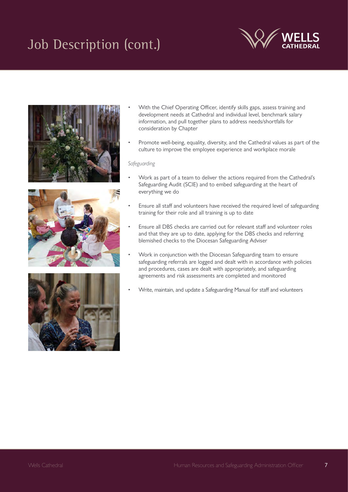# Job Description (cont.)









- With the Chief Operating Officer, identify skills gaps, assess training and development needs at Cathedral and individual level, benchmark salary information, and pull together plans to address needs/shortfalls for consideration by Chapter
- Promote well-being, equality, diversity, and the Cathedral values as part of the culture to improve the employee experience and workplace morale

### *Safeguarding*

- Work as part of a team to deliver the actions required from the Cathedral's Safeguarding Audit (SCIE) and to embed safeguarding at the heart of everything we do
- Ensure all staff and volunteers have received the required level of safeguarding training for their role and all training is up to date
- Ensure all DBS checks are carried out for relevant staff and volunteer roles and that they are up to date, applying for the DBS checks and referring blemished checks to the Diocesan Safeguarding Adviser
- Work in conjunction with the Diocesan Safeguarding team to ensure safeguarding referrals are logged and dealt with in accordance with policies and procedures, cases are dealt with appropriately, and safeguarding agreements and risk assessments are completed and monitored
- Write, maintain, and update a Safeguarding Manual for staff and volunteers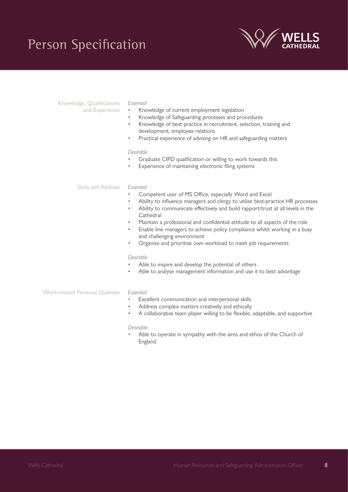## Person Specification



### Knowledge, Qualifications

and Experience

- *Essential* • Knowledge of current employment legislation
- Knowledge of Safeguarding processes and procedures
- Knowledge of best practice in recruitment, selection, training and development, employee relations
- Practical experience of advising on HR and safeguarding matters

#### *Desirable*

- Graduate CIPD qualification or willing to work towards this
- Experience of maintaining electronic filing systems

#### *Essential* Skills and Abilities

- Competent user of MS Office, especially Word and Excel
- Ability to influence managers and clergy to utilise best-practice HR processes
- Ability to communicate effectively and build rapport/trust at all levels in the **Cathedral**
- Maintain a professional and confidential attitude to all aspects of the role
- Enable line managers to achieve policy compliance whilst working in a busy and challenging environment
- Organise and prioritise own workload to meet job requirements

#### *Desirable*

- Able to inspire and develop the potential of others
- Able to analyse management information and use it to best advantage

#### *Essential*  Work-related Personal Qualities

- Excellent communication and interpersonal skills
- Address complex matters creatively and ethically
- A collaborative team player willing to be flexible, adaptable, and supportive

#### *Desirable*

Able to operate in sympathy with the aims and ethos of the Church of England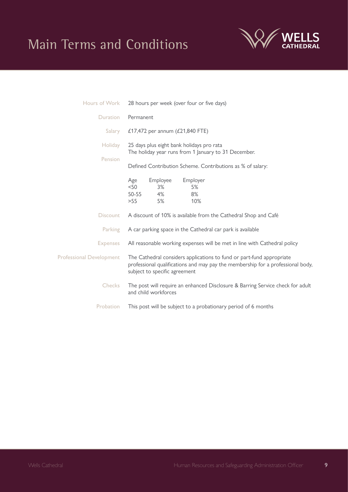### Main Terms and Conditions



| Hours of Work                   | 28 hours per week (over four or five days)                                                                                                                                                |
|---------------------------------|-------------------------------------------------------------------------------------------------------------------------------------------------------------------------------------------|
| <b>Duration</b>                 | Permanent                                                                                                                                                                                 |
| Salary                          | £17,472 per annum (£21,840 FTE)                                                                                                                                                           |
| <b>Holiday</b>                  | 25 days plus eight bank holidays pro rata<br>The holiday year runs from 1 January to 31 December.                                                                                         |
| Pension                         | Defined Contribution Scheme. Contributions as % of salary:                                                                                                                                |
|                                 | Employer<br>Employee<br>Age<br>< 50<br>3%<br>5%<br>$50 - 55$<br>4%<br>8%<br>5%<br>>55<br>10%                                                                                              |
| <b>Discount</b>                 | A discount of 10% is available from the Cathedral Shop and Café                                                                                                                           |
| Parking                         | A car parking space in the Cathedral car park is available                                                                                                                                |
| <b>Expenses</b>                 | All reasonable working expenses will be met in line with Cathedral policy                                                                                                                 |
| <b>Professional Development</b> | The Cathedral considers applications to fund or part-fund appropriate<br>professional qualifications and may pay the membership for a professional body,<br>subject to specific agreement |
| <b>Checks</b>                   | The post will require an enhanced Disclosure & Barring Service check for adult<br>and child workforces                                                                                    |
| Probation                       | This post will be subject to a probationary period of 6 months                                                                                                                            |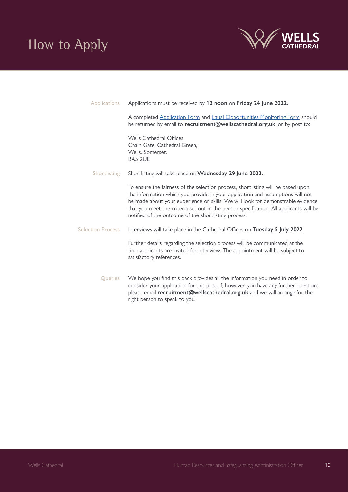

| <b>Applications</b>      | Applications must be received by 12 noon on Friday 24 June 2022.                                                                                                                                                                                                                                                                                                                                        |
|--------------------------|---------------------------------------------------------------------------------------------------------------------------------------------------------------------------------------------------------------------------------------------------------------------------------------------------------------------------------------------------------------------------------------------------------|
|                          | A completed Application Form and Equal Opportunities Monitoring Form should<br>be returned by email to recruitment@wellscathedral.org.uk, or by post to:                                                                                                                                                                                                                                                |
|                          | Wells Cathedral Offices,<br>Chain Gate, Cathedral Green,<br>Wells, Somerset.<br>BA5 2UE                                                                                                                                                                                                                                                                                                                 |
| Shortlisting             | Shortlisting will take place on Wednesday 29 June 2022.                                                                                                                                                                                                                                                                                                                                                 |
|                          | To ensure the fairness of the selection process, shortlisting will be based upon<br>the information which you provide in your application and assumptions will not<br>be made about your experience or skills. We will look for demonstrable evidence<br>that you meet the criteria set out in the person specification. All applicants will be<br>notified of the outcome of the shortlisting process. |
| <b>Selection Process</b> | Interviews will take place in the Cathedral Offices on Tuesday 5 July 2022.                                                                                                                                                                                                                                                                                                                             |
|                          | Further details regarding the selection process will be communicated at the<br>time applicants are invited for interview. The appointment will be subject to<br>satisfactory references.                                                                                                                                                                                                                |
| Queries                  | We hope you find this pack provides all the information you need in order to<br>consider your application for this post. If, however, you have any further questions<br>please email recruitment@wellscathedral.org.uk and we will arrange for the<br>right person to speak to you.                                                                                                                     |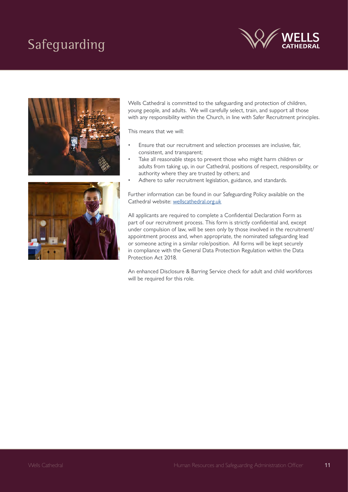# Safeguarding







Wells Cathedral is committed to the safeguarding and protection of children, young people, and adults. We will carefully select, train, and support all those with any responsibility within the Church, in line with Safer Recruitment principles.

This means that we will:

- Ensure that our recruitment and selection processes are inclusive, fair, consistent, and transparent;
- Take all reasonable steps to prevent those who might harm children or adults from taking up, in our Cathedral, positions of respect, responsibility, or authority where they are trusted by others; and
- Adhere to safer recruitment legislation, guidance, and standards.

Further information can be found in our Safeguarding Policy available on the Cathedral website: [wellscathedral.org.uk](http://wellscathedral.org.uk)

All applicants are required to complete a Confidential Declaration Form as part of our recruitment process. This form is strictly confidential and, except under compulsion of law, will be seen only by those involved in the recruitment/ appointment process and, when appropriate, the nominated safeguarding lead or someone acting in a similar role/position. All forms will be kept securely in compliance with the General Data Protection Regulation within the Data Protection Act 2018.

An enhanced Disclosure & Barring Service check for adult and child workforces will be required for this role.